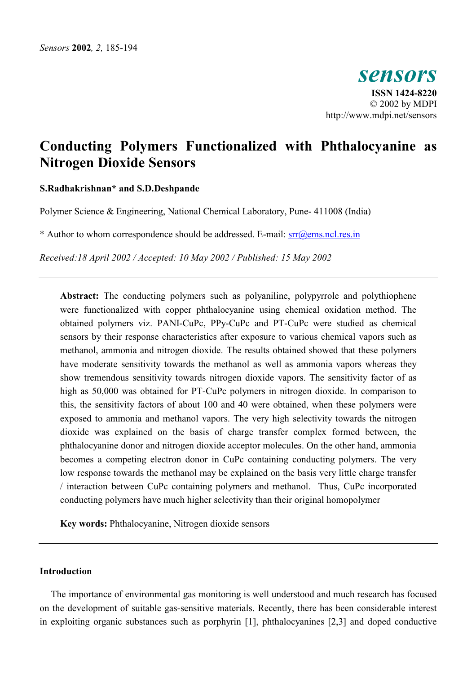*sensors*  **ISSN 1424-8220**  © 2002 by MDPI http://www.mdpi.net/sensors

# **Conducting Polymers Functionalized with Phthalocyanine as Nitrogen Dioxide Sensors**

## **S.Radhakrishnan\* and S.D.Deshpande**

Polymer Science & Engineering, National Chemical Laboratory, Pune- 411008 (India)

\* Author to whom correspondence should be addressed. E-mail: srr@ems.ncl.res.in

*Received:18 April 2002 / Accepted: 10 May 2002 / Published: 15 May 2002* 

**Abstract:** The conducting polymers such as polyaniline, polypyrrole and polythiophene were functionalized with copper phthalocyanine using chemical oxidation method. The obtained polymers viz. PANI-CuPc, PPy-CuPc and PT-CuPc were studied as chemical sensors by their response characteristics after exposure to various chemical vapors such as methanol, ammonia and nitrogen dioxide. The results obtained showed that these polymers have moderate sensitivity towards the methanol as well as ammonia vapors whereas they show tremendous sensitivity towards nitrogen dioxide vapors. The sensitivity factor of as high as 50,000 was obtained for PT-CuPc polymers in nitrogen dioxide. In comparison to this, the sensitivity factors of about 100 and 40 were obtained, when these polymers were exposed to ammonia and methanol vapors. The very high selectivity towards the nitrogen dioxide was explained on the basis of charge transfer complex formed between, the phthalocyanine donor and nitrogen dioxide acceptor molecules. On the other hand, ammonia becomes a competing electron donor in CuPc containing conducting polymers. The very low response towards the methanol may be explained on the basis very little charge transfer / interaction between CuPc containing polymers and methanol. Thus, CuPc incorporated conducting polymers have much higher selectivity than their original homopolymer

**Key words:** Phthalocyanine, Nitrogen dioxide sensors

## **Introduction**

The importance of environmental gas monitoring is well understood and much research has focused on the development of suitable gas-sensitive materials. Recently, there has been considerable interest in exploiting organic substances such as porphyrin [1], phthalocyanines [2,3] and doped conductive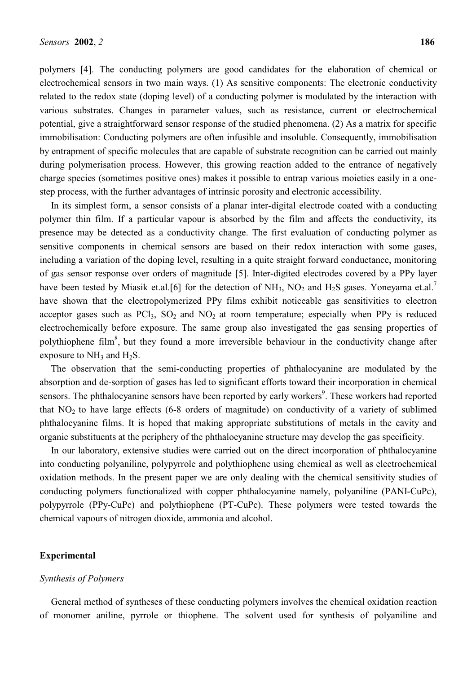polymers [4]. The conducting polymers are good candidates for the elaboration of chemical or electrochemical sensors in two main ways. (1) As sensitive components: The electronic conductivity related to the redox state (doping level) of a conducting polymer is modulated by the interaction with various substrates. Changes in parameter values, such as resistance, current or electrochemical potential, give a straightforward sensor response of the studied phenomena. (2) As a matrix for specific immobilisation: Conducting polymers are often infusible and insoluble. Consequently, immobilisation by entrapment of specific molecules that are capable of substrate recognition can be carried out mainly during polymerisation process. However, this growing reaction added to the entrance of negatively charge species (sometimes positive ones) makes it possible to entrap various moieties easily in a onestep process, with the further advantages of intrinsic porosity and electronic accessibility.

In its simplest form, a sensor consists of a planar inter-digital electrode coated with a conducting polymer thin film. If a particular vapour is absorbed by the film and affects the conductivity, its presence may be detected as a conductivity change. The first evaluation of conducting polymer as sensitive components in chemical sensors are based on their redox interaction with some gases, including a variation of the doping level, resulting in a quite straight forward conductance, monitoring of gas sensor response over orders of magnitude [5]. Inter-digited electrodes covered by a PPy layer have been tested by Miasik et.al.[6] for the detection of  $NH_3$ ,  $NO_2$  and  $H_2S$  gases. Yoneyama et.al.<sup>7</sup> have shown that the electropolymerized PPy films exhibit noticeable gas sensitivities to electron acceptor gases such as  $PCl_3$ ,  $SO_2$  and  $NO_2$  at room temperature; especially when PPy is reduced electrochemically before exposure. The same group also investigated the gas sensing properties of polythiophene film<sup>8</sup>, but they found a more irreversible behaviour in the conductivity change after exposure to  $NH_3$  and  $H_2S$ .

The observation that the semi-conducting properties of phthalocyanine are modulated by the absorption and de-sorption of gases has led to significant efforts toward their incorporation in chemical sensors. The phthalocyanine sensors have been reported by early workers<sup>9</sup>. These workers had reported that  $NO<sub>2</sub>$  to have large effects (6-8 orders of magnitude) on conductivity of a variety of sublimed phthalocyanine films. It is hoped that making appropriate substitutions of metals in the cavity and organic substituents at the periphery of the phthalocyanine structure may develop the gas specificity.

In our laboratory, extensive studies were carried out on the direct incorporation of phthalocyanine into conducting polyaniline, polypyrrole and polythiophene using chemical as well as electrochemical oxidation methods. In the present paper we are only dealing with the chemical sensitivity studies of conducting polymers functionalized with copper phthalocyanine namely, polyaniline (PANI-CuPc), polypyrrole (PPy-CuPc) and polythiophene (PT-CuPc). These polymers were tested towards the chemical vapours of nitrogen dioxide, ammonia and alcohol.

# **Experimental**

## *Synthesis of Polymers*

General method of syntheses of these conducting polymers involves the chemical oxidation reaction of monomer aniline, pyrrole or thiophene. The solvent used for synthesis of polyaniline and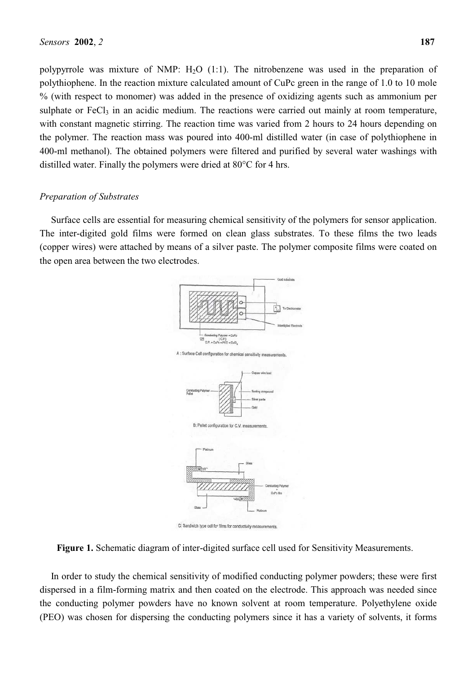polypyrrole was mixture of NMP:  $H<sub>2</sub>O$  (1:1). The nitrobenzene was used in the preparation of polythiophene. In the reaction mixture calculated amount of CuPc green in the range of 1.0 to 10 mole % (with respect to monomer) was added in the presence of oxidizing agents such as ammonium per sulphate or  $FeCl<sub>3</sub>$  in an acidic medium. The reactions were carried out mainly at room temperature, with constant magnetic stirring. The reaction time was varied from 2 hours to 24 hours depending on the polymer. The reaction mass was poured into 400-ml distilled water (in case of polythiophene in 400-ml methanol). The obtained polymers were filtered and purified by several water washings with distilled water. Finally the polymers were dried at 80°C for 4 hrs.

# *Preparation of Substrates*

Surface cells are essential for measuring chemical sensitivity of the polymers for sensor application. The inter-digited gold films were formed on clean glass substrates. To these films the two leads (copper wires) were attached by means of a silver paste. The polymer composite films were coated on the open area between the two electrodes.



C: Sandwich type cell for films for conductivity measurements



In order to study the chemical sensitivity of modified conducting polymer powders; these were first dispersed in a film-forming matrix and then coated on the electrode. This approach was needed since the conducting polymer powders have no known solvent at room temperature. Polyethylene oxide (PEO) was chosen for dispersing the conducting polymers since it has a variety of solvents, it forms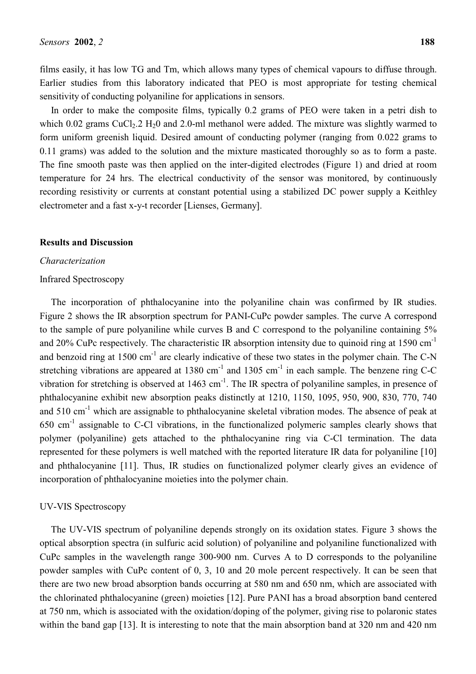films easily, it has low TG and Tm, which allows many types of chemical vapours to diffuse through. Earlier studies from this laboratory indicated that PEO is most appropriate for testing chemical sensitivity of conducting polyaniline for applications in sensors.

In order to make the composite films, typically 0.2 grams of PEO were taken in a petri dish to which 0.02 grams  $CuCl<sub>2</sub>$ .2 H<sub>2</sub>0 and 2.0-ml methanol were added. The mixture was slightly warmed to form uniform greenish liquid. Desired amount of conducting polymer (ranging from 0.022 grams to 0.11 grams) was added to the solution and the mixture masticated thoroughly so as to form a paste. The fine smooth paste was then applied on the inter-digited electrodes (Figure 1) and dried at room temperature for 24 hrs. The electrical conductivity of the sensor was monitored, by continuously recording resistivity or currents at constant potential using a stabilized DC power supply a Keithley electrometer and a fast x-y-t recorder [Lienses, Germany].

#### **Results and Discussion**

#### *Characterization*

## Infrared Spectroscopy

The incorporation of phthalocyanine into the polyaniline chain was confirmed by IR studies. Figure 2 shows the IR absorption spectrum for PANI-CuPc powder samples. The curve A correspond to the sample of pure polyaniline while curves B and C correspond to the polyaniline containing 5% and 20% CuPc respectively. The characteristic IR absorption intensity due to quinoid ring at 1590  $cm^{-1}$ and benzoid ring at 1500 cm<sup>-1</sup> are clearly indicative of these two states in the polymer chain. The C-N stretching vibrations are appeared at 1380 cm<sup>-1</sup> and 1305 cm<sup>-1</sup> in each sample. The benzene ring C-C vibration for stretching is observed at  $1463 \text{ cm}^{-1}$ . The IR spectra of polyaniline samples, in presence of phthalocyanine exhibit new absorption peaks distinctly at 1210, 1150, 1095, 950, 900, 830, 770, 740 and 510 cm<sup>-1</sup> which are assignable to phthalocyanine skeletal vibration modes. The absence of peak at  $650 \text{ cm}^{-1}$  assignable to C-Cl vibrations, in the functionalized polymeric samples clearly shows that polymer (polyaniline) gets attached to the phthalocyanine ring via C-Cl termination. The data represented for these polymers is well matched with the reported literature IR data for polyaniline [10] and phthalocyanine [11]. Thus, IR studies on functionalized polymer clearly gives an evidence of incorporation of phthalocyanine moieties into the polymer chain.

#### UV-VIS Spectroscopy

The UV-VIS spectrum of polyaniline depends strongly on its oxidation states. Figure 3 shows the optical absorption spectra (in sulfuric acid solution) of polyaniline and polyaniline functionalized with CuPc samples in the wavelength range 300-900 nm. Curves A to D corresponds to the polyaniline powder samples with CuPc content of 0, 3, 10 and 20 mole percent respectively. It can be seen that there are two new broad absorption bands occurring at 580 nm and 650 nm, which are associated with the chlorinated phthalocyanine (green) moieties [12]. Pure PANI has a broad absorption band centered at 750 nm, which is associated with the oxidation/doping of the polymer, giving rise to polaronic states within the band gap [13]. It is interesting to note that the main absorption band at 320 nm and 420 nm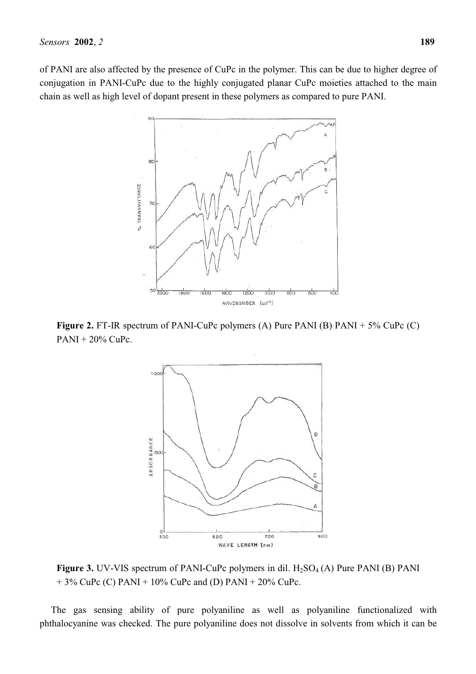of PANI are also affected by the presence of CuPc in the polymer. This can be due to higher degree of conjugation in PANI-CuPc due to the highly conjugated planar CuPc moieties attached to the main chain as well as high level of dopant present in these polymers as compared to pure PANI.



**Figure 2.** FT-IR spectrum of PANI-CuPc polymers (A) Pure PANI (B) PANI + 5% CuPc (C)  $PANI + 20\%$  CuPc.



**Figure 3.** UV-VIS spectrum of PANI-CuPc polymers in dil.  $H_2SO_4(A)$  Pure PANI (B) PANI  $+ 3\%$  CuPc (C) PANI + 10% CuPc and (D) PANI + 20% CuPc.

The gas sensing ability of pure polyaniline as well as polyaniline functionalized with phthalocyanine was checked. The pure polyaniline does not dissolve in solvents from which it can be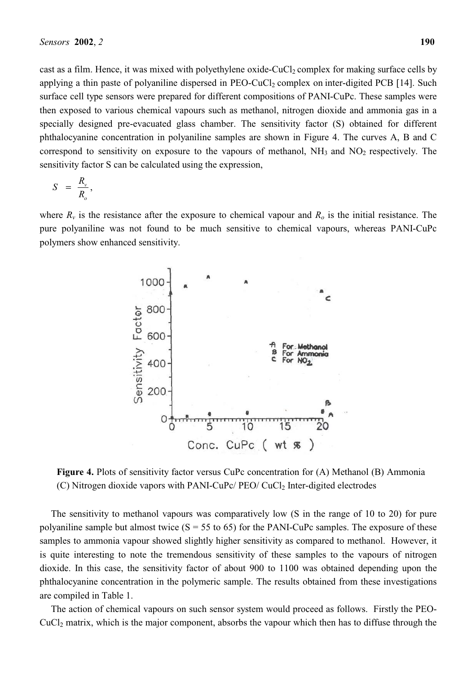cast as a film. Hence, it was mixed with polyethylene oxide-CuCl<sub>2</sub> complex for making surface cells by applying a thin paste of polyaniline dispersed in  $PEO-CuCl<sub>2</sub>$  complex on inter-digited PCB [14]. Such surface cell type sensors were prepared for different compositions of PANI-CuPc. These samples were then exposed to various chemical vapours such as methanol, nitrogen dioxide and ammonia gas in a specially designed pre-evacuated glass chamber. The sensitivity factor (S) obtained for different phthalocyanine concentration in polyaniline samples are shown in Figure 4. The curves A, B and C correspond to sensitivity on exposure to the vapours of methanol,  $NH<sub>3</sub>$  and  $NO<sub>2</sub>$  respectively. The sensitivity factor S can be calculated using the expression,

$$
S = \frac{R_{\nu}}{R_{o}},
$$

where  $R_v$  is the resistance after the exposure to chemical vapour and  $R_o$  is the initial resistance. The pure polyaniline was not found to be much sensitive to chemical vapours, whereas PANI-CuPc polymers show enhanced sensitivity.



**Figure 4.** Plots of sensitivity factor versus CuPc concentration for (A) Methanol (B) Ammonia (C) Nitrogen dioxide vapors with PANI-CuPc/ PEO/ CuCl<sub>2</sub> Inter-digited electrodes

The sensitivity to methanol vapours was comparatively low (S in the range of 10 to 20) for pure polyaniline sample but almost twice  $(S = 55$  to 65) for the PANI-CuPc samples. The exposure of these samples to ammonia vapour showed slightly higher sensitivity as compared to methanol. However, it is quite interesting to note the tremendous sensitivity of these samples to the vapours of nitrogen dioxide. In this case, the sensitivity factor of about 900 to 1100 was obtained depending upon the phthalocyanine concentration in the polymeric sample. The results obtained from these investigations are compiled in Table 1.

The action of chemical vapours on such sensor system would proceed as follows. Firstly the PEO- $CuCl<sub>2</sub>$  matrix, which is the major component, absorbs the vapour which then has to diffuse through the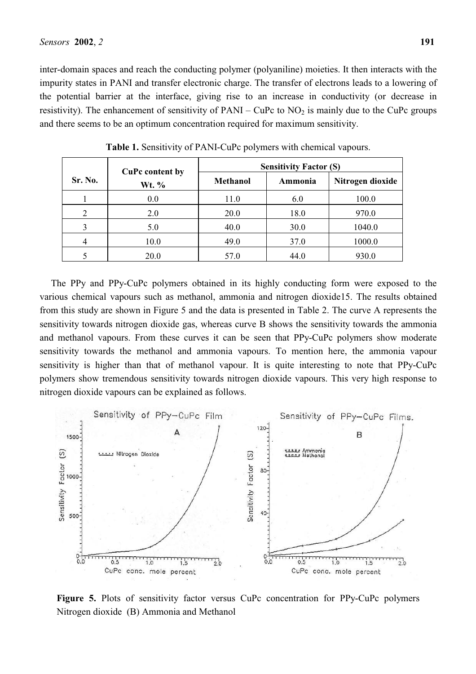inter-domain spaces and reach the conducting polymer (polyaniline) moieties. It then interacts with the impurity states in PANI and transfer electronic charge. The transfer of electrons leads to a lowering of the potential barrier at the interface, giving rise to an increase in conductivity (or decrease in resistivity). The enhancement of sensitivity of PANI – CuPc to  $NO<sub>2</sub>$  is mainly due to the CuPc groups and there seems to be an optimum concentration required for maximum sensitivity.

|         | <b>CuPc content by</b><br>Wt. % | <b>Sensitivity Factor (S)</b> |         |                  |
|---------|---------------------------------|-------------------------------|---------|------------------|
| Sr. No. |                                 | <b>Methanol</b>               | Ammonia | Nitrogen dioxide |
|         | 0.0                             | 11.0                          | 6.0     | 100.0            |
|         | 2.0                             | <b>20.0</b>                   | 18.0    | 970.0            |
|         | 5.0                             | 40.0                          | 30.0    | 1040.0           |
|         | 10.0                            | 49.0                          | 37.0    | 1000.0           |
|         | 20.0                            | 57.0                          | 44.0    | 930.0            |

**Table 1.** Sensitivity of PANI-CuPc polymers with chemical vapours.

The PPy and PPy-CuPc polymers obtained in its highly conducting form were exposed to the various chemical vapours such as methanol, ammonia and nitrogen dioxide15. The results obtained from this study are shown in Figure 5 and the data is presented in Table 2. The curve A represents the sensitivity towards nitrogen dioxide gas, whereas curve B shows the sensitivity towards the ammonia and methanol vapours. From these curves it can be seen that PPy-CuPc polymers show moderate sensitivity towards the methanol and ammonia vapours. To mention here, the ammonia vapour sensitivity is higher than that of methanol vapour. It is quite interesting to note that PPy-CuPc polymers show tremendous sensitivity towards nitrogen dioxide vapours. This very high response to nitrogen dioxide vapours can be explained as follows.



**Figure 5.** Plots of sensitivity factor versus CuPc concentration for PPy-CuPc polymers Nitrogen dioxide (B) Ammonia and Methanol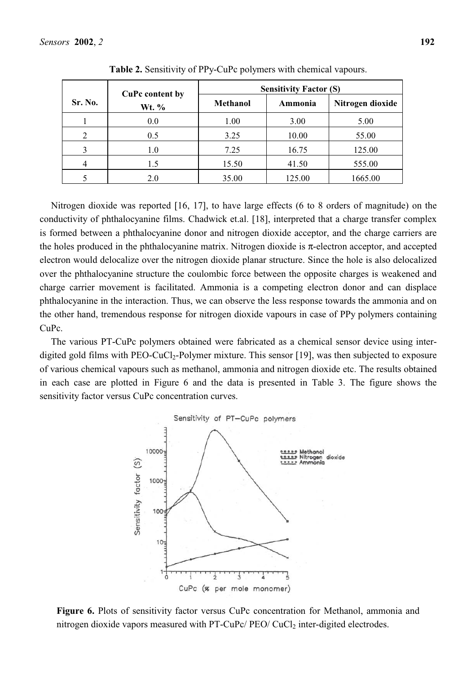|         | <b>CuPc content by</b> | <b>Sensitivity Factor (S)</b> |         |                  |
|---------|------------------------|-------------------------------|---------|------------------|
| Sr. No. | Wt. %                  | <b>Methanol</b>               | Ammonia | Nitrogen dioxide |
|         | 0.0                    | 1.00                          | 3.00    | 5.00             |
|         | 0.5                    | 3.25                          | 10.00   | 55.00            |
|         | 1.0                    | 7.25                          | 16.75   | 125.00           |
| 4       | 1.5                    | 15.50                         | 41.50   | 555.00           |
|         | 2.0                    | 35.00                         | 125.00  | 1665.00          |

**Table 2.** Sensitivity of PPy-CuPc polymers with chemical vapours.

Nitrogen dioxide was reported [16, 17], to have large effects (6 to 8 orders of magnitude) on the conductivity of phthalocyanine films. Chadwick et.al. [18], interpreted that a charge transfer complex is formed between a phthalocyanine donor and nitrogen dioxide acceptor, and the charge carriers are the holes produced in the phthalocyanine matrix. Nitrogen dioxide is  $\pi$ -electron acceptor, and accepted electron would delocalize over the nitrogen dioxide planar structure. Since the hole is also delocalized over the phthalocyanine structure the coulombic force between the opposite charges is weakened and charge carrier movement is facilitated. Ammonia is a competing electron donor and can displace phthalocyanine in the interaction. Thus, we can observe the less response towards the ammonia and on the other hand, tremendous response for nitrogen dioxide vapours in case of PPy polymers containing CuPc.

The various PT-CuPc polymers obtained were fabricated as a chemical sensor device using interdigited gold films with PEO-CuCl<sub>2</sub>-Polymer mixture. This sensor [19], was then subjected to exposure of various chemical vapours such as methanol, ammonia and nitrogen dioxide etc. The results obtained in each case are plotted in Figure 6 and the data is presented in Table 3. The figure shows the sensitivity factor versus CuPc concentration curves.



**Figure 6.** Plots of sensitivity factor versus CuPc concentration for Methanol, ammonia and nitrogen dioxide vapors measured with PT-CuPc/ PEO/ CuCl<sub>2</sub> inter-digited electrodes.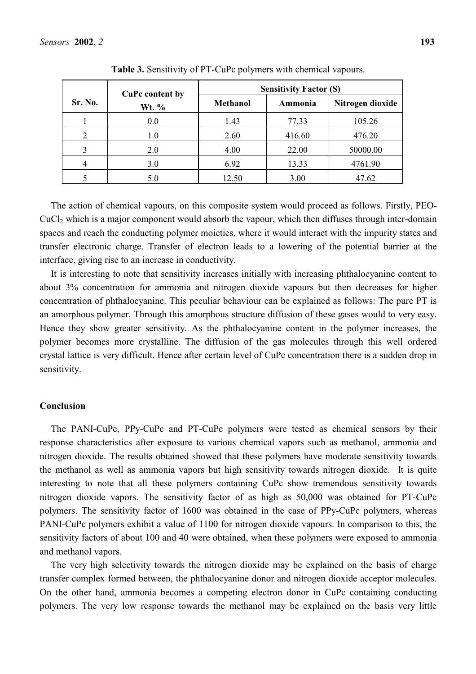|         | <b>CuPc content by</b> | <b>Sensitivity Factor (S)</b> |         |                  |
|---------|------------------------|-------------------------------|---------|------------------|
| Sr. No. | Wt. %                  | <b>Methanol</b>               | Ammonia | Nitrogen dioxide |
|         | 0.0                    | 1.43                          | 77.33   | 105.26           |
|         | 1.0                    | 2.60                          | 416.60  | 476.20           |
| 3       | 2.0                    | 4.00                          | 22.00   | 50000.00         |
| 4       | 3.0                    | 6.92                          | 13.33   | 4761.90          |
|         | 5.0                    | 12.50                         | 3.00    | 47.62            |

**Table 3.** Sensitivity of PT-CuPc polymers with chemical vapours.

The action of chemical vapours, on this composite system would proceed as follows. Firstly, PEO-CuCl2 which is a major component would absorb the vapour, which then diffuses through inter-domain spaces and reach the conducting polymer moieties, where it would interact with the impurity states and transfer electronic charge. Transfer of electron leads to a lowering of the potential barrier at the interface, giving rise to an increase in conductivity.

It is interesting to note that sensitivity increases initially with increasing phthalocyanine content to about 3% concentration for ammonia and nitrogen dioxide vapours but then decreases for higher concentration of phthalocyanine. This peculiar behaviour can be explained as follows: The pure PT is an amorphous polymer. Through this amorphous structure diffusion of these gases would to very easy. Hence they show greater sensitivity. As the phthalocyanine content in the polymer increases, the polymer becomes more crystalline. The diffusion of the gas molecules through this well ordered crystal lattice is very difficult. Hence after certain level of CuPc concentration there is a sudden drop in sensitivity.

## **Conclusion**

The PANI-CuPc, PPy-CuPc and PT-CuPc polymers were tested as chemical sensors by their response characteristics after exposure to various chemical vapors such as methanol, ammonia and nitrogen dioxide. The results obtained showed that these polymers have moderate sensitivity towards the methanol as well as ammonia vapors but high sensitivity towards nitrogen dioxide. It is quite interesting to note that all these polymers containing CuPc show tremendous sensitivity towards nitrogen dioxide vapors. The sensitivity factor of as high as 50,000 was obtained for PT-CuPc polymers. The sensitivity factor of 1600 was obtained in the case of PPy-CuPc polymers, whereas PANI-CuPc polymers exhibit a value of 1100 for nitrogen dioxide vapours. In comparison to this, the sensitivity factors of about 100 and 40 were obtained, when these polymers were exposed to ammonia and methanol vapors.

The very high selectivity towards the nitrogen dioxide may be explained on the basis of charge transfer complex formed between, the phthalocyanine donor and nitrogen dioxide acceptor molecules. On the other hand, ammonia becomes a competing electron donor in CuPc containing conducting polymers. The very low response towards the methanol may be explained on the basis very little